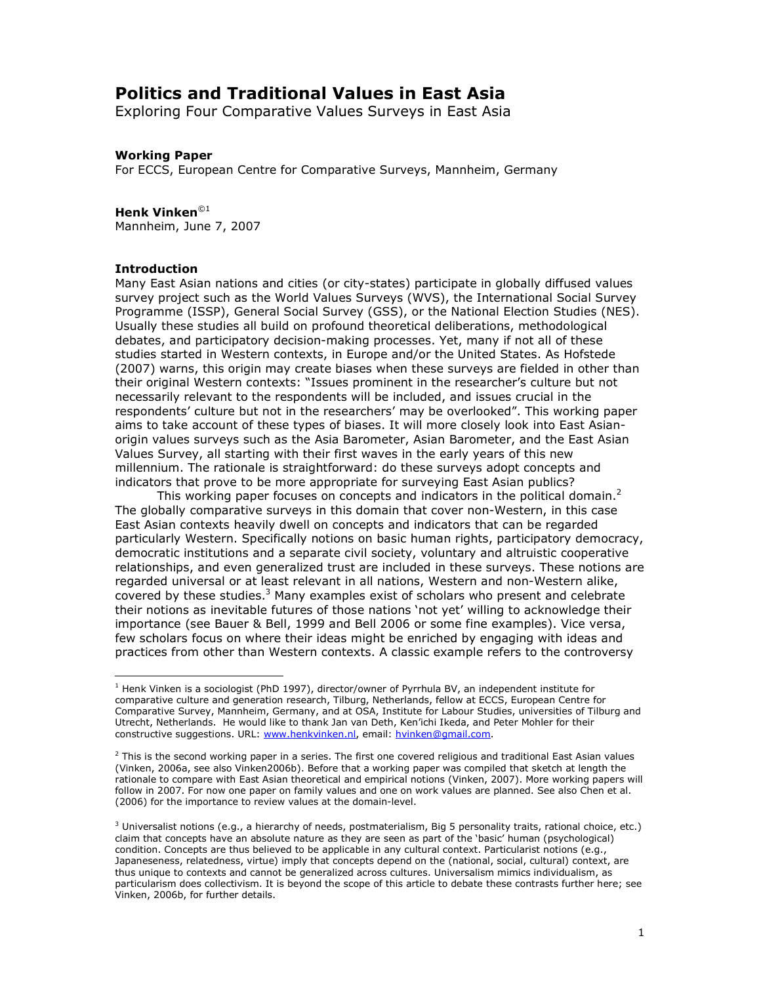# **Politics and Traditional Values in East Asia**

Exploring Four Comparative Values Surveys in East Asia

### **Working Paper**

For ECCS, European Centre for Comparative Surveys, Mannheim, Germany

#### Henk Vinken $^{\odot 1}$

Mannheim, June 7, 2007

#### **Introduction**

Many East Asian nations and cities (or city-states) participate in globally diffused values survey project such as the World Values Surveys (WVS), the International Social Survey Programme (ISSP), General Social Survey (GSS), or the National Election Studies (NES). Usually these studies all build on profound theoretical deliberations, methodological debates, and participatory decision-making processes. Yet, many if not all of these studies started in Western contexts, in Europe and/or the United States. As Hofstede (2007) warns, this origin may create biases when these surveys are fielded in other than their original Western contexts: "Issues prominent in the researcher's culture but not necessarily relevant to the respondents will be included, and issues crucial in the respondents' culture but not in the researchers' may be overlooked". This working paper aims to take account of these types of biases. It will more closely look into East Asianorigin values surveys such as the Asia Barometer, Asian Barometer, and the East Asian Values Survey, all starting with their first waves in the early years of this new millennium. The rationale is straightforward: do these surveys adopt concepts and indicators that prove to be more appropriate for surveying East Asian publics?

This working paper focuses on concepts and indicators in the political domain. $<sup>2</sup>$ </sup> The globally comparative surveys in this domain that cover non-Western, in this case East Asian contexts heavily dwell on concepts and indicators that can be regarded particularly Western. Specifically notions on basic human rights, participatory democracy, democratic institutions and a separate civil society, voluntary and altruistic cooperative relationships, and even generalized trust are included in these surveys. These notions are regarded universal or at least relevant in all nations, Western and non-Western alike, covered by these studies.<sup>3</sup> Many examples exist of scholars who present and celebrate their notions as inevitable futures of those nations 'not vet' willing to acknowledge their importance (see Bauer & Bell, 1999 and Bell 2006 or some fine examples). Vice versa, few scholars focus on where their ideas might be enriched by engaging with ideas and practices from other than Western contexts. A classic example refers to the controversy

<sup>&</sup>lt;sup>1</sup> Henk Vinken is a sociologist (PhD 1997), director/owner of Pyrrhula BV, an independent institute for comparative culture and generation research, Tilburg, Netherlands, fellow at ECCS, European Centre for Comparative Survey, Mannheim, Germany, and at OSA, Institute for Labour Studies, universities of Tilburg and Utrecht, Netherlands. He would like to thank Jan van Deth, Ken'ichi Ikeda, and Peter Mohler for their constructive suggestions. URL: www.henkvinken.nl, email: hvinken@gmail.com.

<sup>&</sup>lt;sup>2</sup> This is the second working paper in a series. The first one covered religious and traditional East Asian values (Vinken, 2006a, see also Vinken2006b). Before that a working paper was compiled that sketch at length the rationale to compare with East Asian theoretical and empirical notions (Vinken, 2007). More working papers will follow in 2007. For now one paper on family values and one on work values are planned. See also Chen et al. (2006) for the importance to review values at the domain-level.

<sup>&</sup>lt;sup>3</sup> Universalist notions (e.g., a hierarchy of needs, postmaterialism, Big 5 personality traits, rational choice, etc.) claim that concepts have an absolute nature as they are seen as part of the 'basic' human (psychological) condition. Concepts are thus believed to be applicable in any cultural context. Particularist notions (e.g., Japaneseness, relatedness, virtue) imply that concepts depend on the (national, social, cultural) context, are thus unique to contexts and cannot be generalized across cultures. Universalism mimics individualism, as particularism does collectivism. It is beyond the scope of this article to debate these contrasts further here; see Vinken, 2006b, for further details.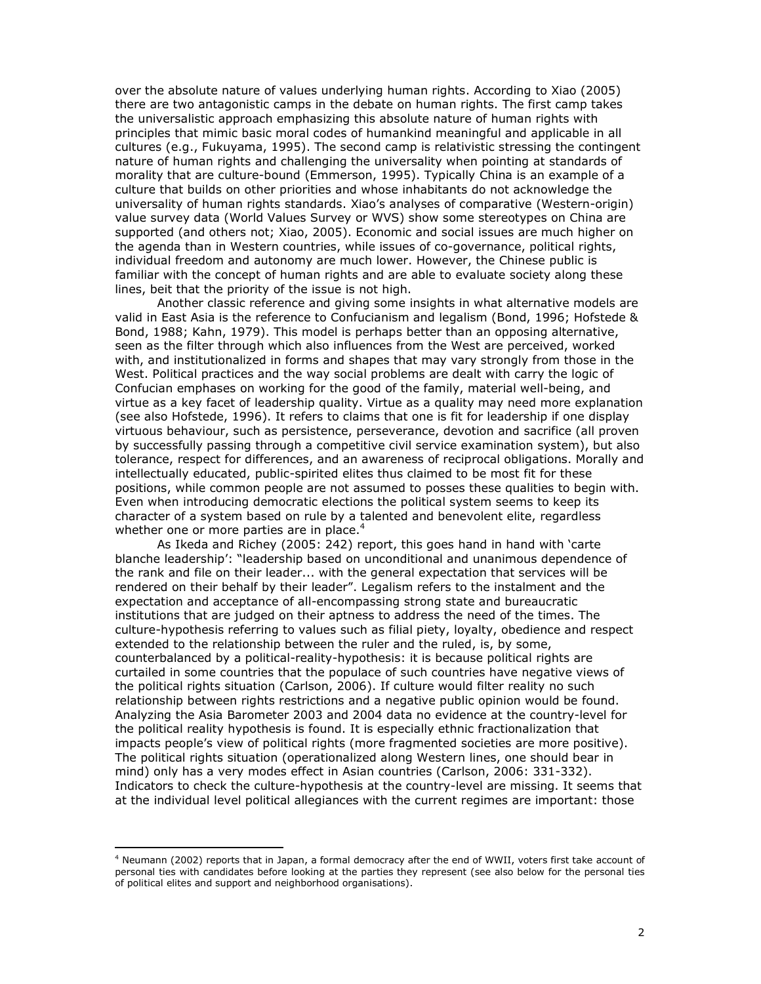over the absolute nature of values underlying human rights. According to Xiao (2005) there are two antagonistic camps in the debate on human rights. The first camp takes the universalistic approach emphasizing this absolute nature of human rights with principles that mimic basic moral codes of humankind meaningful and applicable in all cultures (e.g., Fukuyama, 1995). The second camp is relativistic stressing the contingent nature of human rights and challenging the universality when pointing at standards of morality that are culture-bound (Emmerson, 1995). Typically China is an example of a culture that builds on other priorities and whose inhabitants do not acknowledge the universality of human rights standards. Xiao's analyses of comparative (Western-origin) value survey data (World Values Survey or WVS) show some stereotypes on China are supported (and others not; Xiao, 2005). Economic and social issues are much higher on the agenda than in Western countries, while issues of co-governance, political rights, individual freedom and autonomy are much lower. However, the Chinese public is familiar with the concept of human rights and are able to evaluate society along these lines, beit that the priority of the issue is not high.

Another classic reference and giving some insights in what alternative models are valid in East Asia is the reference to Confucianism and legalism (Bond, 1996; Hofstede & Bond, 1988; Kahn, 1979). This model is perhaps better than an opposing alternative, seen as the filter through which also influences from the West are perceived, worked with, and institutionalized in forms and shapes that may vary strongly from those in the West. Political practices and the way social problems are dealt with carry the logic of Confucian emphases on working for the good of the family, material well-being, and virtue as a key facet of leadership quality. Virtue as a quality may need more explanation (see also Hofstede, 1996). It refers to claims that one is fit for leadership if one display virtuous behaviour, such as persistence, perseverance, devotion and sacrifice (all proven by successfully passing through a competitive civil service examination system), but also tolerance, respect for differences, and an awareness of reciprocal obligations. Morally and intellectually educated, public-spirited elites thus claimed to be most fit for these positions, while common people are not assumed to posses these qualities to begin with. Even when introducing democratic elections the political system seems to keep its character of a system based on rule by a talented and benevolent elite, regardless whether one or more parties are in place.<sup>4</sup>

As Ikeda and Richey (2005: 242) report, this goes hand in hand with 'carte blanche leadership': "leadership based on unconditional and unanimous dependence of the rank and file on their leader... with the general expectation that services will be rendered on their behalf by their leader". Legalism refers to the instalment and the expectation and acceptance of all-encompassing strong state and bureaucratic institutions that are judged on their aptness to address the need of the times. The culture-hypothesis referring to values such as filial piety, loyalty, obedience and respect extended to the relationship between the ruler and the ruled, is, by some, counterbalanced by a political-reality-hypothesis: it is because political rights are curtailed in some countries that the populace of such countries have negative views of the political rights situation (Carlson, 2006). If culture would filter reality no such relationship between rights restrictions and a negative public opinion would be found. Analyzing the Asia Barometer 2003 and 2004 data no evidence at the country-level for the political reality hypothesis is found. It is especially ethnic fractionalization that impacts people's view of political rights (more fragmented societies are more positive). The political rights situation (operationalized along Western lines, one should bear in mind) only has a very modes effect in Asian countries (Carlson, 2006: 331-332). Indicators to check the culture-hypothesis at the country-level are missing. It seems that at the individual level political allegiances with the current regimes are important: those

<sup>&</sup>lt;sup>4</sup> Neumann (2002) reports that in Japan, a formal democracy after the end of WWII, voters first take account of personal ties with candidates before looking at the parties they represent (see also below for the personal ties of political elites and support and neighborhood organisations).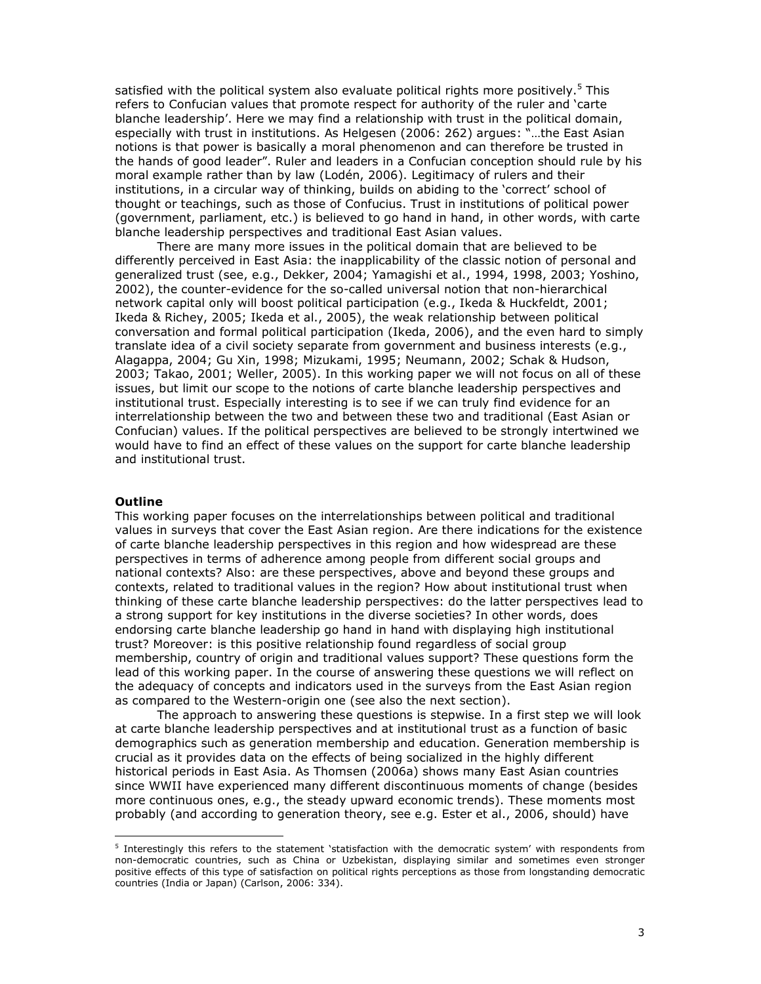satisfied with the political system also evaluate political rights more positively.<sup>5</sup> This refers to Confucian values that promote respect for authority of the ruler and 'carte blanche leadership'. Here we may find a relationship with trust in the political domain, especially with trust in institutions. As Helgesen (2006: 262) argues: "...the East Asian notions is that power is basically a moral phenomenon and can therefore be trusted in the hands of good leader". Ruler and leaders in a Confucian conception should rule by his moral example rather than by law (Lodén, 2006). Legitimacy of rulers and their institutions, in a circular way of thinking, builds on abiding to the 'correct' school of thought or teachings, such as those of Confucius. Trust in institutions of political power (government, parliament, etc.) is believed to go hand in hand, in other words, with carte blanche leadership perspectives and traditional East Asian values.

There are many more issues in the political domain that are believed to be differently perceived in East Asia: the inapplicability of the classic notion of personal and generalized trust (see, e.g., Dekker, 2004; Yamagishi et al., 1994, 1998, 2003; Yoshino, 2002), the counter-evidence for the so-called universal notion that non-hierarchical network capital only will boost political participation (e.g., Ikeda & Huckfeldt, 2001; Ikeda & Richey, 2005; Ikeda et al., 2005), the weak relationship between political conversation and formal political participation (Ikeda, 2006), and the even hard to simply translate idea of a civil society separate from government and business interests (e.g., Alagappa, 2004; Gu Xin, 1998; Mizukami, 1995; Neumann, 2002; Schak & Hudson, 2003; Takao, 2001; Weller, 2005). In this working paper we will not focus on all of these issues, but limit our scope to the notions of carte blanche leadership perspectives and institutional trust. Especially interesting is to see if we can truly find evidence for an interrelationship between the two and between these two and traditional (East Asian or Confucian) values. If the political perspectives are believed to be strongly intertwined we would have to find an effect of these values on the support for carte blanche leadership and institutional trust.

#### **Outline**

This working paper focuses on the interrelationships between political and traditional values in surveys that cover the East Asian region. Are there indications for the existence of carte blanche leadership perspectives in this region and how widespread are these perspectives in terms of adherence among people from different social groups and national contexts? Also: are these perspectives, above and beyond these groups and contexts, related to traditional values in the region? How about institutional trust when thinking of these carte blanche leadership perspectives: do the latter perspectives lead to a strong support for key institutions in the diverse societies? In other words, does endorsing carte blanche leadership go hand in hand with displaying high institutional trust? Moreover: is this positive relationship found regardless of social group membership, country of origin and traditional values support? These questions form the lead of this working paper. In the course of answering these questions we will reflect on the adequacy of concepts and indicators used in the surveys from the East Asian region as compared to the Western-origin one (see also the next section).

The approach to answering these questions is stepwise. In a first step we will look at carte blanche leadership perspectives and at institutional trust as a function of basic demographics such as generation membership and education. Generation membership is crucial as it provides data on the effects of being socialized in the highly different historical periods in East Asia. As Thomsen (2006a) shows many East Asian countries since WWII have experienced many different discontinuous moments of change (besides more continuous ones, e.g., the steady upward economic trends). These moments most probably (and according to generation theory, see e.g. Ester et al., 2006, should) have

<sup>&</sup>lt;sup>5</sup> Interestingly this refers to the statement 'statisfaction with the democratic system' with respondents from non-democratic countries, such as China or Uzbekistan, displaying similar and sometimes even stronger positive effects of this type of satisfaction on political rights perceptions as those from longstanding democratic countries (India or Japan) (Carlson, 2006: 334).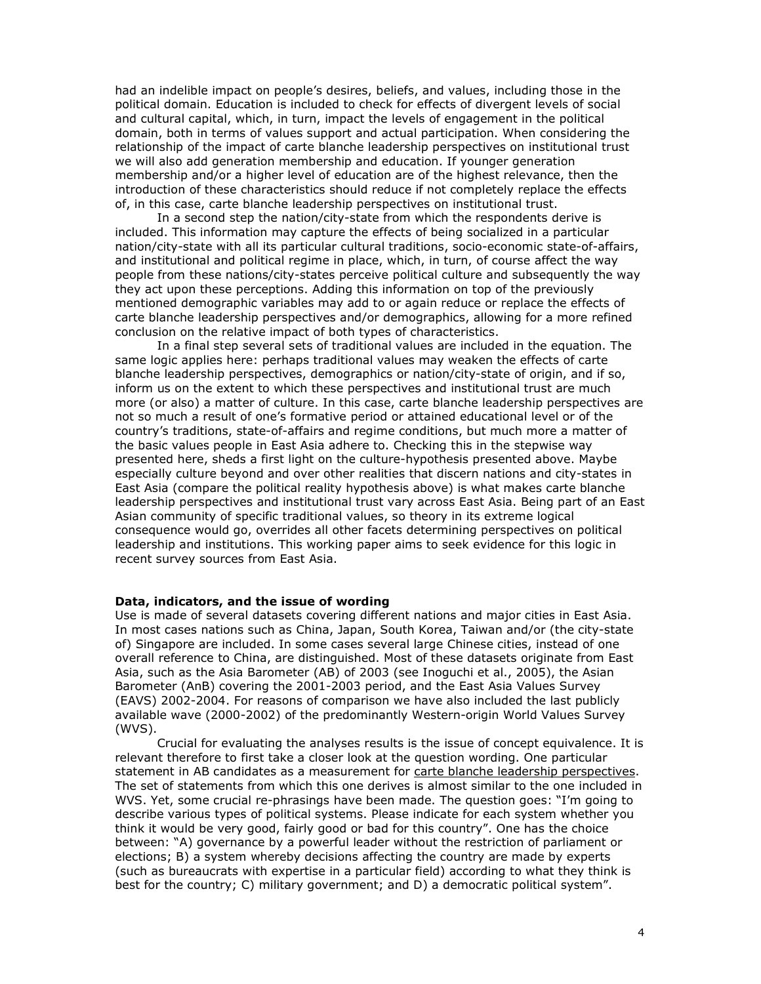had an indelible impact on people's desires, beliefs, and values, including those in the political domain. Education is included to check for effects of divergent levels of social and cultural capital, which, in turn, impact the levels of engagement in the political domain, both in terms of values support and actual participation. When considering the relationship of the impact of carte blanche leadership perspectives on institutional trust we will also add generation membership and education. If younger generation membership and/or a higher level of education are of the highest relevance, then the introduction of these characteristics should reduce if not completely replace the effects of, in this case, carte blanche leadership perspectives on institutional trust.

In a second step the nation/city-state from which the respondents derive is included. This information may capture the effects of being socialized in a particular nation/city-state with all its particular cultural traditions, socio-economic state-of-affairs, and institutional and political regime in place, which, in turn, of course affect the way people from these nations/city-states perceive political culture and subsequently the way they act upon these perceptions. Adding this information on top of the previously mentioned demographic variables may add to or again reduce or replace the effects of carte blanche leadership perspectives and/or demographics, allowing for a more refined conclusion on the relative impact of both types of characteristics.

In a final step several sets of traditional values are included in the equation. The same logic applies here: perhaps traditional values may weaken the effects of carte blanche leadership perspectives, demographics or nation/city-state of origin, and if so, inform us on the extent to which these perspectives and institutional trust are much more (or also) a matter of culture. In this case, carte blanche leadership perspectives are not so much a result of one's formative period or attained educational level or of the country's traditions, state-of-affairs and regime conditions, but much more a matter of the basic values people in East Asia adhere to. Checking this in the stepwise way presented here, sheds a first light on the culture-hypothesis presented above. Maybe especially culture beyond and over other realities that discern nations and city-states in East Asia (compare the political reality hypothesis above) is what makes carte blanche leadership perspectives and institutional trust vary across East Asia. Being part of an East Asian community of specific traditional values, so theory in its extreme logical consequence would go, overrides all other facets determining perspectives on political leadership and institutions. This working paper aims to seek evidence for this logic in recent survey sources from East Asia.

#### Data, indicators, and the issue of wording

Use is made of several datasets covering different nations and major cities in East Asia. In most cases nations such as China, Japan, South Korea, Taiwan and/or (the city-state of) Singapore are included. In some cases several large Chinese cities, instead of one overall reference to China, are distinguished. Most of these datasets originate from East Asia, such as the Asia Barometer (AB) of 2003 (see Inoguchi et al., 2005), the Asian Barometer (AnB) covering the 2001-2003 period, and the East Asia Values Survey (EAVS) 2002-2004. For reasons of comparison we have also included the last publicly available wave (2000-2002) of the predominantly Western-origin World Values Survey  $(WVS)$ .

Crucial for evaluating the analyses results is the issue of concept equivalence. It is relevant therefore to first take a closer look at the question wording. One particular statement in AB candidates as a measurement for carte blanche leadership perspectives. The set of statements from which this one derives is almost similar to the one included in WVS. Yet, some crucial re-phrasings have been made. The question goes: "I'm going to describe various types of political systems. Please indicate for each system whether you think it would be very good, fairly good or bad for this country". One has the choice between: "A) governance by a powerful leader without the restriction of parliament or elections; B) a system whereby decisions affecting the country are made by experts (such as bureaucrats with expertise in a particular field) according to what they think is best for the country; C) military government; and D) a democratic political system".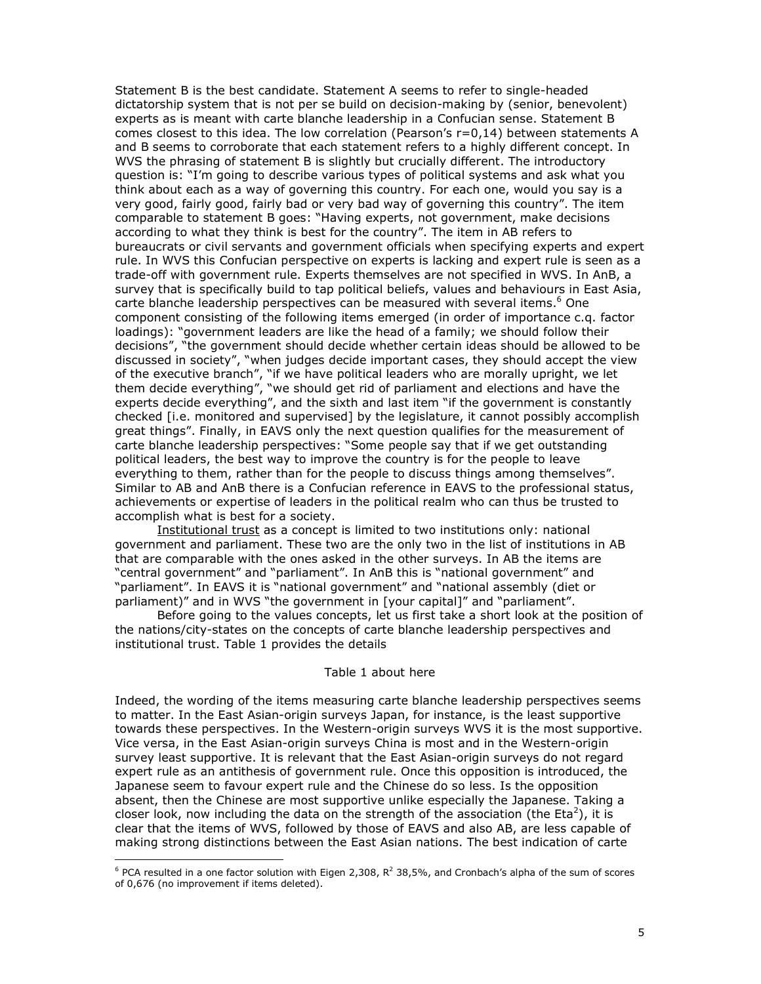Statement B is the best candidate. Statement A seems to refer to single-headed dictatorship system that is not per se build on decision-making by (senior, benevolent) experts as is meant with carte blanche leadership in a Confucian sense. Statement B comes closest to this idea. The low correlation (Pearson's r=0,14) between statements A and B seems to corroborate that each statement refers to a highly different concept. In WVS the phrasing of statement B is slightly but crucially different. The introductory question is: "I'm going to describe various types of political systems and ask what you think about each as a way of governing this country. For each one, would you say is a very good, fairly good, fairly bad or very bad way of governing this country". The item comparable to statement B goes: "Having experts, not government, make decisions according to what they think is best for the country". The item in AB refers to bureaucrats or civil servants and government officials when specifying experts and expert rule. In WVS this Confucian perspective on experts is lacking and expert rule is seen as a trade-off with government rule. Experts themselves are not specified in WVS. In AnB, a survey that is specifically build to tap political beliefs, values and behaviours in East Asia, carte blanche leadership perspectives can be measured with several items.<sup>6</sup> One component consisting of the following items emerged (in order of importance c.g. factor loadings): "government leaders are like the head of a family; we should follow their decisions", "the government should decide whether certain ideas should be allowed to be discussed in society", "when judges decide important cases, they should accept the view of the executive branch", "if we have political leaders who are morally upright, we let<br>them decide everything", "we should get rid of parliament and elections and have the experts decide everything", and the sixth and last item "if the government is constantly checked [i.e. monitored and supervised] by the legislature, it cannot possibly accomplish great things". Finally, in EAVS only the next question qualifies for the measurement of carte blanche leadership perspectives: "Some people say that if we get outstanding political leaders, the best way to improve the country is for the people to leave everything to them, rather than for the people to discuss things among themselves". Similar to AB and AnB there is a Confucian reference in EAVS to the professional status, achievements or expertise of leaders in the political realm who can thus be trusted to accomplish what is best for a society.

Institutional trust as a concept is limited to two institutions only: national government and parliament. These two are the only two in the list of institutions in AB that are comparable with the ones asked in the other surveys. In AB the items are "central government" and "parliament". In AnB this is "national government" and "parliament". In EAVS it is "national government" and "national assembly (diet or parliament)" and in WVS "the government in [your capital]" and "parliament".

Before going to the values concepts, let us first take a short look at the position of the nations/city-states on the concepts of carte blanche leadership perspectives and institutional trust. Table 1 provides the details

#### Table 1 about here

Indeed, the wording of the items measuring carte blanche leadership perspectives seems to matter. In the East Asian-origin surveys Japan, for instance, is the least supportive towards these perspectives. In the Western-origin surveys WVS it is the most supportive. Vice versa, in the East Asian-origin surveys China is most and in the Western-origin survey least supportive. It is relevant that the East Asian-origin surveys do not regard expert rule as an antithesis of government rule. Once this opposition is introduced, the Japanese seem to favour expert rule and the Chinese do so less. Is the opposition absent, then the Chinese are most supportive unlike especially the Japanese. Taking a closer look, now including the data on the strength of the association (the  $Eta<sup>2</sup>$ ), it is clear that the items of WVS, followed by those of EAVS and also AB, are less capable of making strong distinctions between the East Asian nations. The best indication of carte

 $6$  PCA resulted in a one factor solution with Eigen 2,308,  $R^2$  38,5%, and Cronbach's alpha of the sum of scores of 0,676 (no improvement if items deleted).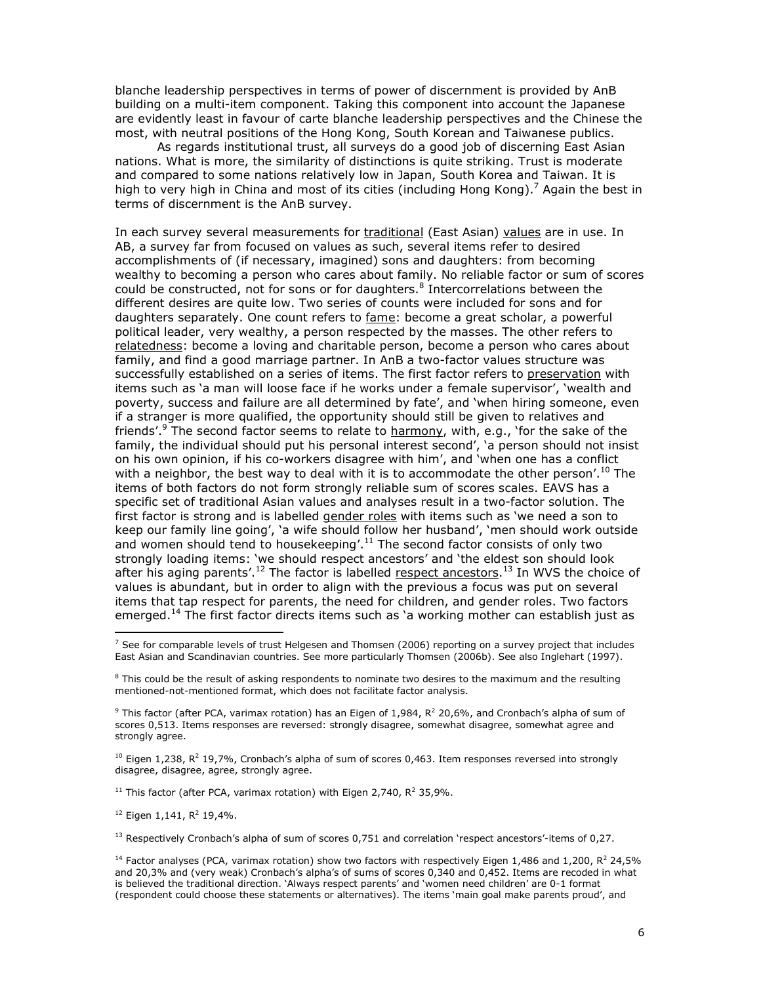blanche leadership perspectives in terms of power of discernment is provided by AnB building on a multi-item component. Taking this component into account the Japanese are evidently least in favour of carte blanche leadership perspectives and the Chinese the most, with neutral positions of the Hong Kong, South Korean and Taiwanese publics.

As regards institutional trust, all surveys do a good job of discerning East Asian nations. What is more, the similarity of distinctions is quite striking. Trust is moderate and compared to some nations relatively low in Japan, South Korea and Taiwan. It is high to very high in China and most of its cities (including Hong Kong).<sup>7</sup> Again the best in terms of discernment is the AnB survey.

In each survey several measurements for traditional (East Asian) values are in use. In AB, a survey far from focused on values as such, several items refer to desired accomplishments of (if necessary, imagined) sons and daughters: from becoming wealthy to becoming a person who cares about family. No reliable factor or sum of scores could be constructed, not for sons or for daughters.<sup>8</sup> Intercorrelations between the different desires are quite low. Two series of counts were included for sons and for daughters separately. One count refers to fame: become a great scholar, a powerful political leader, very wealthy, a person respected by the masses. The other refers to relatedness: become a loving and charitable person, become a person who cares about family, and find a good marriage partner. In AnB a two-factor values structure was successfully established on a series of items. The first factor refers to preservation with items such as 'a man will loose face if he works under a female supervisor', 'wealth and poverty, success and failure are all determined by fate', and 'when hiring someone, even if a stranger is more qualified, the opportunity should still be given to relatives and friends'.<sup>9</sup> The second factor seems to relate to harmony, with, e.g., 'for the sake of the family, the individual should put his personal interest second', 'a person should not insist on his own opinion, if his co-workers disagree with him', and 'when one has a conflict with a neighbor, the best way to deal with it is to accommodate the other person'.<sup>10</sup> The items of both factors do not form strongly reliable sum of scores scales. EAVS has a specific set of traditional Asian values and analyses result in a two-factor solution. The first factor is strong and is labelled gender roles with items such as 'we need a son to keep our family line going', 'a wife should follow her husband', 'men should work outside and women should tend to housekeeping'.<sup>11</sup> The second factor consists of only two strongly loading items: 'we should respect ancestors' and 'the eldest son should look after his aging parents'.<sup>12</sup> The factor is labelled respect ancestors.<sup>13</sup> In WVS the choice of values is abundant, but in order to align with the previous a focus was put on several items that tap respect for parents, the need for children, and gender roles. Two factors emerged.<sup>14</sup> The first factor directs items such as 'a working mother can establish just as

 $^{10}$  Eigen 1,238, R<sup>2</sup> 19,7%, Cronbach's alpha of sum of scores 0,463. Item responses reversed into strongly disagree, disagree, agree, strongly agree.

<sup>11</sup> This factor (after PCA, varimax rotation) with Eigen 2,740,  $R^2$  35,9%.

<sup>12</sup> Eigen 1,141,  $R^2$  19,4%.

<sup>13</sup> Respectively Cronbach's alpha of sum of scores 0,751 and correlation 'respect ancestors'-items of 0,27.

 $7$  See for comparable levels of trust Helgesen and Thomsen (2006) reporting on a survey project that includes East Asian and Scandinavian countries. See more particularly Thomsen (2006b). See also Inglehart (1997).

<sup>&</sup>lt;sup>8</sup> This could be the result of asking respondents to nominate two desires to the maximum and the resulting mentioned-not-mentioned format, which does not facilitate factor analysis.

<sup>&</sup>lt;sup>9</sup> This factor (after PCA, varimax rotation) has an Eigen of 1,984,  $R^2$  20,6%, and Cronbach's alpha of sum of scores 0,513. Items responses are reversed: strongly disagree, somewhat disagree, somewhat agree and strongly agree.

<sup>&</sup>lt;sup>14</sup> Factor analyses (PCA, varimax rotation) show two factors with respectively Eigen 1,486 and 1,200, R<sup>2</sup> 24,5% and 20,3% and (very weak) Cronbach's alpha's of sums of scores 0,340 and 0,452. Items are recoded in what is believed the traditional direction. `Always respect parents' and `women need children' are 0-1 format (respondent could choose these statements or alternatives). The items 'main goal make parents proud', and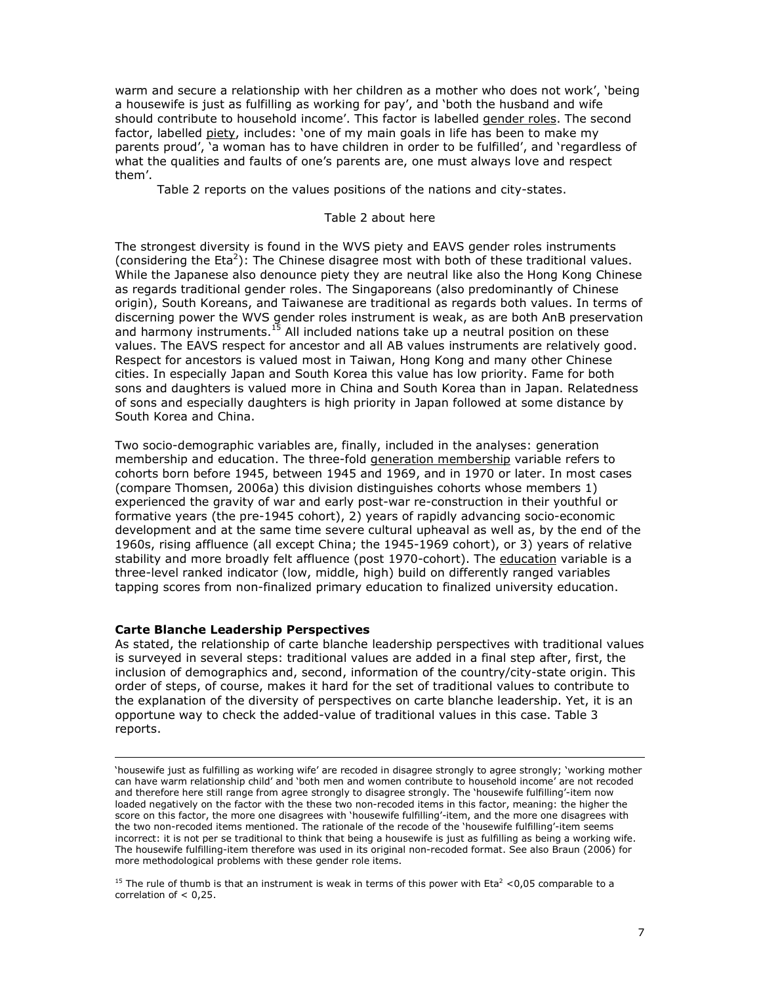warm and secure a relationship with her children as a mother who does not work', 'being a housewife is just as fulfilling as working for pay', and 'both the husband and wife should contribute to household income'. This factor is labelled gender roles. The second factor, labelled piety, includes: 'one of my main goals in life has been to make my parents proud', 'a woman has to have children in order to be fulfilled', and 'regardless of what the qualities and faults of one's parents are, one must always love and respect them'.

Table 2 reports on the values positions of the nations and city-states.

### Table 2 about here

The strongest diversity is found in the WVS piety and EAVS gender roles instruments (considering the  $Et^{2}$ ): The Chinese disagree most with both of these traditional values. While the Japanese also denounce piety they are neutral like also the Hong Kong Chinese as regards traditional gender roles. The Singaporeans (also predominantly of Chinese origin), South Koreans, and Taiwanese are traditional as regards both values. In terms of discerning power the WVS gender roles instrument is weak, as are both AnB preservation and harmony instruments.<sup>15</sup> All included nations take up a neutral position on these values. The EAVS respect for ancestor and all AB values instruments are relatively good. Respect for ancestors is valued most in Taiwan, Hong Kong and many other Chinese cities. In especially Japan and South Korea this value has low priority. Fame for both sons and daughters is valued more in China and South Korea than in Japan. Relatedness of sons and especially daughters is high priority in Japan followed at some distance by South Korea and China.

Two socio-demographic variables are, finally, included in the analyses: generation membership and education. The three-fold generation membership variable refers to cohorts born before 1945, between 1945 and 1969, and in 1970 or later. In most cases (compare Thomsen, 2006a) this division distinguishes cohorts whose members 1) experienced the gravity of war and early post-war re-construction in their youthful or formative years (the pre-1945 cohort), 2) years of rapidly advancing socio-economic development and at the same time severe cultural upheaval as well as, by the end of the 1960s, rising affluence (all except China; the 1945-1969 cohort), or 3) years of relative stability and more broadly felt affluence (post 1970-cohort). The education variable is a three-level ranked indicator (low, middle, high) build on differently ranged variables tapping scores from non-finalized primary education to finalized university education.

#### **Carte Blanche Leadership Perspectives**

As stated, the relationship of carte blanche leadership perspectives with traditional values is surveyed in several steps: traditional values are added in a final step after, first, the inclusion of demographics and, second, information of the country/city-state origin. This order of steps, of course, makes it hard for the set of traditional values to contribute to the explanation of the diversity of perspectives on carte blanche leadership. Yet, it is an opportune way to check the added-value of traditional values in this case. Table 3 reports.

<sup>15</sup> The rule of thumb is that an instrument is weak in terms of this power with Eta<sup>2</sup> < 0,05 comparable to a correlation of  $< 0.25$ .

<sup>&#</sup>x27;housewife just as fulfilling as working wife' are recoded in disagree strongly to agree strongly; 'working mother can have warm relationship child' and 'both men and women contribute to household income' are not recoded and therefore here still range from agree strongly to disagree strongly. The 'housewife fulfilling'-item now loaded negatively on the factor with the these two non-recoded items in this factor, meaning: the higher the score on this factor, the more one disagrees with 'housewife fulfilling'-item, and the more one disagrees with the two non-recoded items mentioned. The rationale of the recode of the 'housewife fulfilling'-item seems incorrect: it is not per se traditional to think that being a housewife is just as fulfilling as being a working wife. The housewife fulfilling-item therefore was used in its original non-recoded format. See also Braun (2006) for more methodological problems with these gender role items.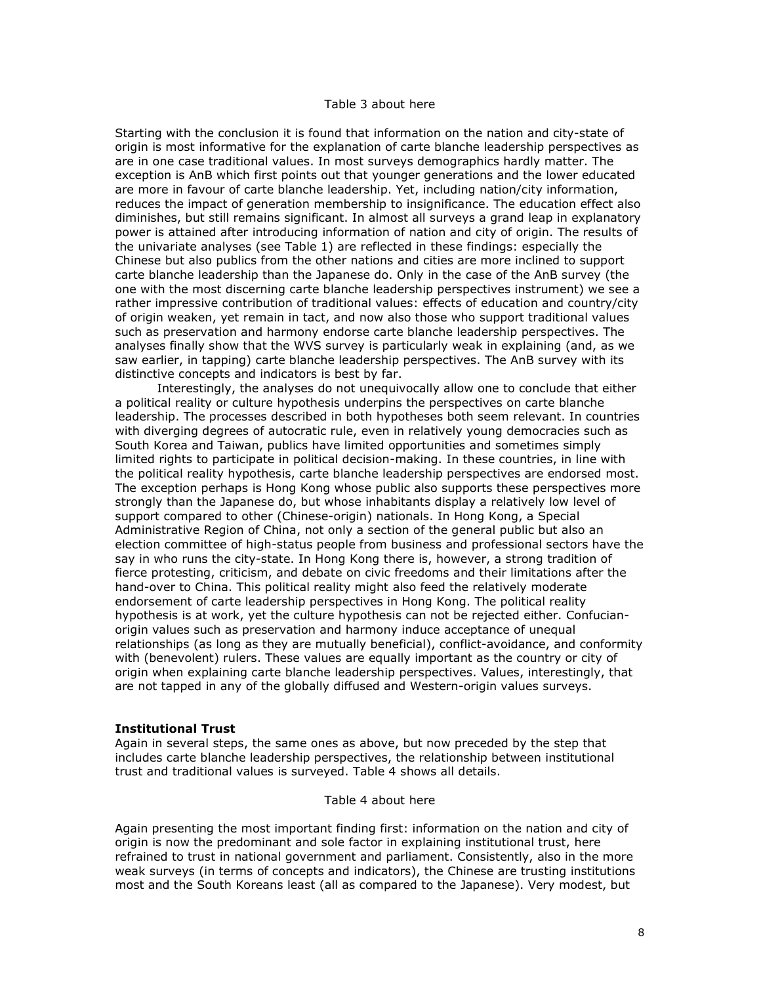### Table 3 about here

Starting with the conclusion it is found that information on the nation and city-state of origin is most informative for the explanation of carte blanche leadership perspectives as are in one case traditional values. In most surveys demographics hardly matter. The exception is AnB which first points out that younger generations and the lower educated are more in favour of carte blanche leadership. Yet, including nation/city information, reduces the impact of generation membership to insignificance. The education effect also diminishes, but still remains significant. In almost all surveys a grand leap in explanatory power is attained after introducing information of nation and city of origin. The results of the univariate analyses (see Table 1) are reflected in these findings: especially the Chinese but also publics from the other nations and cities are more inclined to support carte blanche leadership than the Japanese do. Only in the case of the AnB survey (the one with the most discerning carte blanche leadership perspectives instrument) we see a rather impressive contribution of traditional values: effects of education and country/city of origin weaken, yet remain in tact, and now also those who support traditional values such as preservation and harmony endorse carte blanche leadership perspectives. The analyses finally show that the WVS survey is particularly weak in explaining (and, as we saw earlier, in tapping) carte blanche leadership perspectives. The AnB survey with its distinctive concepts and indicators is best by far.

Interestingly, the analyses do not unequivocally allow one to conclude that either a political reality or culture hypothesis underpins the perspectives on carte blanche leadership. The processes described in both hypotheses both seem relevant. In countries with diverging degrees of autocratic rule, even in relatively young democracies such as South Korea and Taiwan, publics have limited opportunities and sometimes simply limited rights to participate in political decision-making. In these countries, in line with the political reality hypothesis, carte blanche leadership perspectives are endorsed most. The exception perhaps is Hong Kong whose public also supports these perspectives more strongly than the Japanese do, but whose inhabitants display a relatively low level of support compared to other (Chinese-origin) nationals. In Hong Kong, a Special Administrative Region of China, not only a section of the general public but also an election committee of high-status people from business and professional sectors have the say in who runs the city-state. In Hong Kong there is, however, a strong tradition of fierce protesting, criticism, and debate on civic freedoms and their limitations after the hand-over to China. This political reality might also feed the relatively moderate endorsement of carte leadership perspectives in Hong Kong. The political reality hypothesis is at work, yet the culture hypothesis can not be rejected either. Confucianorigin values such as preservation and harmony induce acceptance of unequal relationships (as long as they are mutually beneficial), conflict-avoidance, and conformity with (benevolent) rulers. These values are equally important as the country or city of origin when explaining carte blanche leadership perspectives. Values, interestingly, that are not tapped in any of the globally diffused and Western-origin values surveys.

#### **Institutional Trust**

Again in several steps, the same ones as above, but now preceded by the step that includes carte blanche leadership perspectives, the relationship between institutional trust and traditional values is surveyed. Table 4 shows all details.

### Table 4 about here

Again presenting the most important finding first: information on the nation and city of origin is now the predominant and sole factor in explaining institutional trust, here refrained to trust in national government and parliament. Consistently, also in the more weak surveys (in terms of concepts and indicators), the Chinese are trusting institutions most and the South Koreans least (all as compared to the Japanese). Very modest, but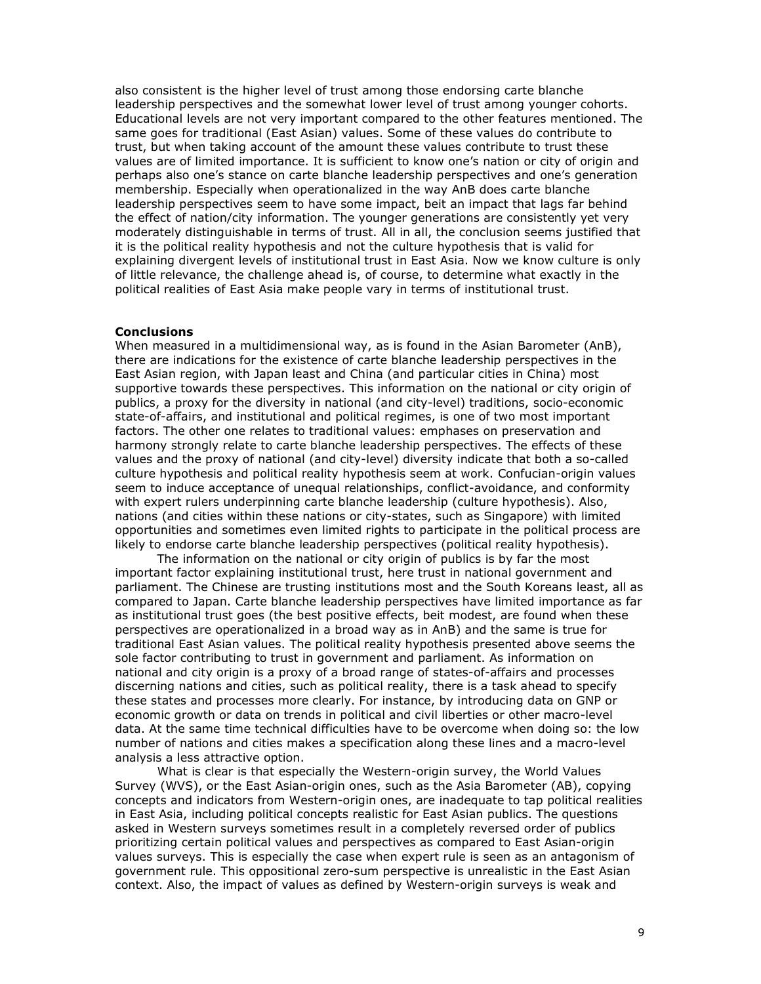also consistent is the higher level of trust among those endorsing carte blanche leadership perspectives and the somewhat lower level of trust among younger cohorts. Educational levels are not very important compared to the other features mentioned. The same goes for traditional (East Asian) values. Some of these values do contribute to trust, but when taking account of the amount these values contribute to trust these values are of limited importance. It is sufficient to know one's nation or city of origin and perhaps also one's stance on carte blanche leadership perspectives and one's generation membership. Especially when operationalized in the way AnB does carte blanche leadership perspectives seem to have some impact, beit an impact that lags far behind the effect of nation/city information. The younger generations are consistently yet very moderately distinguishable in terms of trust. All in all, the conclusion seems justified that it is the political reality hypothesis and not the culture hypothesis that is valid for explaining divergent levels of institutional trust in East Asia. Now we know culture is only of little relevance, the challenge ahead is, of course, to determine what exactly in the political realities of East Asia make people vary in terms of institutional trust.

#### **Conclusions**

When measured in a multidimensional way, as is found in the Asian Barometer (AnB), there are indications for the existence of carte blanche leadership perspectives in the East Asian region, with Japan least and China (and particular cities in China) most supportive towards these perspectives. This information on the national or city origin of publics, a proxy for the diversity in national (and city-level) traditions, socio-economic state-of-affairs, and institutional and political regimes, is one of two most important factors. The other one relates to traditional values: emphases on preservation and harmony strongly relate to carte blanche leadership perspectives. The effects of these values and the proxy of national (and city-level) diversity indicate that both a so-called culture hypothesis and political reality hypothesis seem at work. Confucian-origin values seem to induce acceptance of unequal relationships, conflict-avoidance, and conformity with expert rulers underpinning carte blanche leadership (culture hypothesis). Also, nations (and cities within these nations or city-states, such as Singapore) with limited opportunities and sometimes even limited rights to participate in the political process are likely to endorse carte blanche leadership perspectives (political reality hypothesis).

The information on the national or city origin of publics is by far the most important factor explaining institutional trust, here trust in national government and parliament. The Chinese are trusting institutions most and the South Koreans least, all as compared to Japan. Carte blanche leadership perspectives have limited importance as far as institutional trust goes (the best positive effects, beit modest, are found when these perspectives are operationalized in a broad way as in AnB) and the same is true for traditional East Asian values. The political reality hypothesis presented above seems the sole factor contributing to trust in government and parliament. As information on national and city origin is a proxy of a broad range of states-of-affairs and processes discerning nations and cities, such as political reality, there is a task ahead to specify these states and processes more clearly. For instance, by introducing data on GNP or economic growth or data on trends in political and civil liberties or other macro-level data. At the same time technical difficulties have to be overcome when doing so: the low number of nations and cities makes a specification along these lines and a macro-level analysis a less attractive option.

What is clear is that especially the Western-origin survey, the World Values Survey (WVS), or the East Asian-origin ones, such as the Asia Barometer (AB), copying concepts and indicators from Western-origin ones, are inadequate to tap political realities in East Asia, including political concepts realistic for East Asian publics. The questions asked in Western surveys sometimes result in a completely reversed order of publics prioritizing certain political values and perspectives as compared to East Asian-origin values surveys. This is especially the case when expert rule is seen as an antagonism of government rule. This oppositional zero-sum perspective is unrealistic in the East Asian context. Also, the impact of values as defined by Western-origin surveys is weak and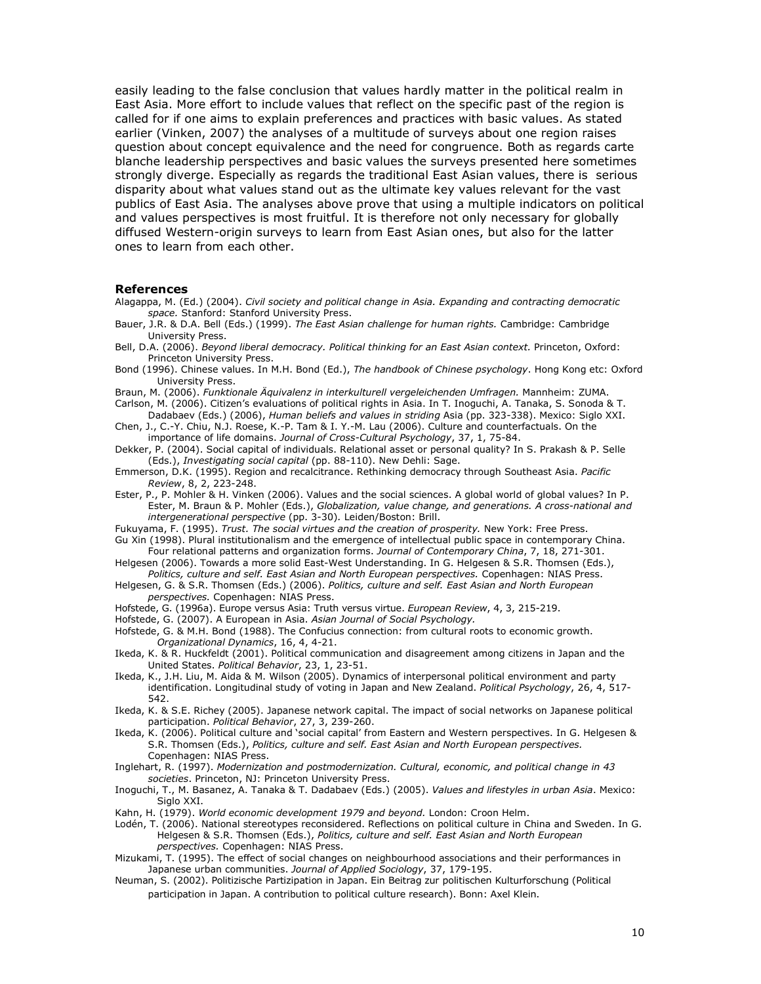easily leading to the false conclusion that values hardly matter in the political realm in East Asia. More effort to include values that reflect on the specific past of the region is called for if one aims to explain preferences and practices with basic values. As stated earlier (Vinken, 2007) the analyses of a multitude of surveys about one region raises question about concept equivalence and the need for congruence. Both as regards carte blanche leadership perspectives and basic values the surveys presented here sometimes strongly diverge. Especially as regards the traditional East Asian values, there is serious disparity about what values stand out as the ultimate key values relevant for the vast publics of East Asia. The analyses above prove that using a multiple indicators on political and values perspectives is most fruitful. It is therefore not only necessary for globally diffused Western-origin surveys to learn from East Asian ones, but also for the latter ones to learn from each other.

#### **References**

- Alagappa, M. (Ed.) (2004). Civil society and political change in Asia. Expanding and contracting democratic space. Stanford: Stanford University Press.
- Bauer, J.R. & D.A. Bell (Eds.) (1999). The East Asian challenge for human rights. Cambridge: Cambridge University Press.
- Bell, D.A. (2006). Beyond liberal democracy. Political thinking for an East Asian context. Princeton, Oxford: Princeton University Press.
- Bond (1996). Chinese values. In M.H. Bond (Ed.), The handbook of Chinese psychology. Hong Kong etc: Oxford University Press.
- Braun, M. (2006). Funktionale Äquivalenz in interkulturell vergeleichenden Umfragen. Mannheim: ZUMA.
- Carlson, M. (2006). Citizen's evaluations of political rights in Asia. In T. Inoquchi, A. Tanaka, S. Sonoda & T. Dadabaev (Eds.) (2006), Human beliefs and values in striding Asia (pp. 323-338). Mexico: Siglo XXI.
- Chen, J., C.-Y. Chiu, N.J. Roese, K.-P. Tam & I. Y.-M. Lau (2006). Culture and counterfactuals. On the importance of life domains. Journal of Cross-Cultural Psychology, 37, 1, 75-84.
- Dekker, P. (2004). Social capital of individuals. Relational asset or personal quality? In S. Prakash & P. Selle (Eds.), Investigating social capital (pp. 88-110). New Dehli: Sage.
- Emmerson, D.K. (1995). Region and recalcitrance. Rethinking democracy through Southeast Asia. Pacific Review, 8, 2, 223-248.
- Ester, P., P. Mohler & H. Vinken (2006). Values and the social sciences. A global world of global values? In P. Ester, M. Braun & P. Mohler (Eds.), Globalization, value change, and generations. A cross-national and intergenerational perspective (pp. 3-30). Leiden/Boston: Brill.
- Fukuyama, F. (1995). Trust. The social virtues and the creation of prosperity. New York: Free Press. Gu Xin (1998). Plural institutionalism and the emergence of intellectual public space in contemporary China.
- Four relational patterns and organization forms. Journal of Contemporary China, 7, 18, 271-301. Helgesen (2006). Towards a more solid East-West Understanding. In G. Helgesen & S.R. Thomsen (Eds.),
- Politics, culture and self. East Asian and North European perspectives. Copenhagen: NIAS Press. Helgesen, G. & S.R. Thomsen (Eds.) (2006). Politics, culture and self. East Asian and North European perspectives. Copenhagen: NIAS Press.
- Hofstede, G. (1996a). Europe versus Asia: Truth versus virtue. European Review, 4, 3, 215-219.
- Hofstede, G. (2007). A European in Asia. Asian Journal of Social Psychology.
- Hofstede, G. & M.H. Bond (1988). The Confucius connection: from cultural roots to economic growth. Organizational Dynamics, 16, 4, 4-21.
- Ikeda, K. & R. Huckfeldt (2001). Political communication and disagreement among citizens in Japan and the United States. Political Behavior, 23, 1, 23-51.
- Ikeda, K., J.H. Liu, M. Aida & M. Wilson (2005). Dynamics of interpersonal political environment and party identification. Longitudinal study of voting in Japan and New Zealand. Political Psychology, 26, 4, 517-542.
- Ikeda, K. & S.E. Richey (2005). Japanese network capital. The impact of social networks on Japanese political participation. Political Behavior, 27, 3, 239-260.
- Ikeda, K. (2006). Political culture and 'social capital' from Eastern and Western perspectives. In G. Helgesen & S.R. Thomsen (Eds.), Politics, culture and self. East Asian and North European perspectives. Copenhagen: NIAS Press.
- Inglehart, R. (1997). Modernization and postmodernization. Cultural, economic, and political change in 43 societies. Princeton, NJ: Princeton University Press.
- Inoquchi, T., M. Basanez, A. Tanaka & T. Dadabaev (Eds.) (2005). Values and lifestyles in urban Asia. Mexico: Sialo XXI.
- Kahn, H. (1979). World economic development 1979 and beyond. London: Croon Helm.
- Lodén, T. (2006). National stereotypes reconsidered. Reflections on political culture in China and Sweden. In G. Helgesen & S.R. Thomsen (Eds.), Politics, culture and self. East Asian and North European perspectives. Copenhagen: NIAS Press.
- Mizukami, T. (1995). The effect of social changes on neighbourhood associations and their performances in Japanese urban communities. Journal of Applied Sociology, 37, 179-195.
- Neuman, S. (2002). Politizische Partizipation in Japan. Ein Beitrag zur politischen Kulturforschung (Political participation in Japan. A contribution to political culture research). Bonn: Axel Klein.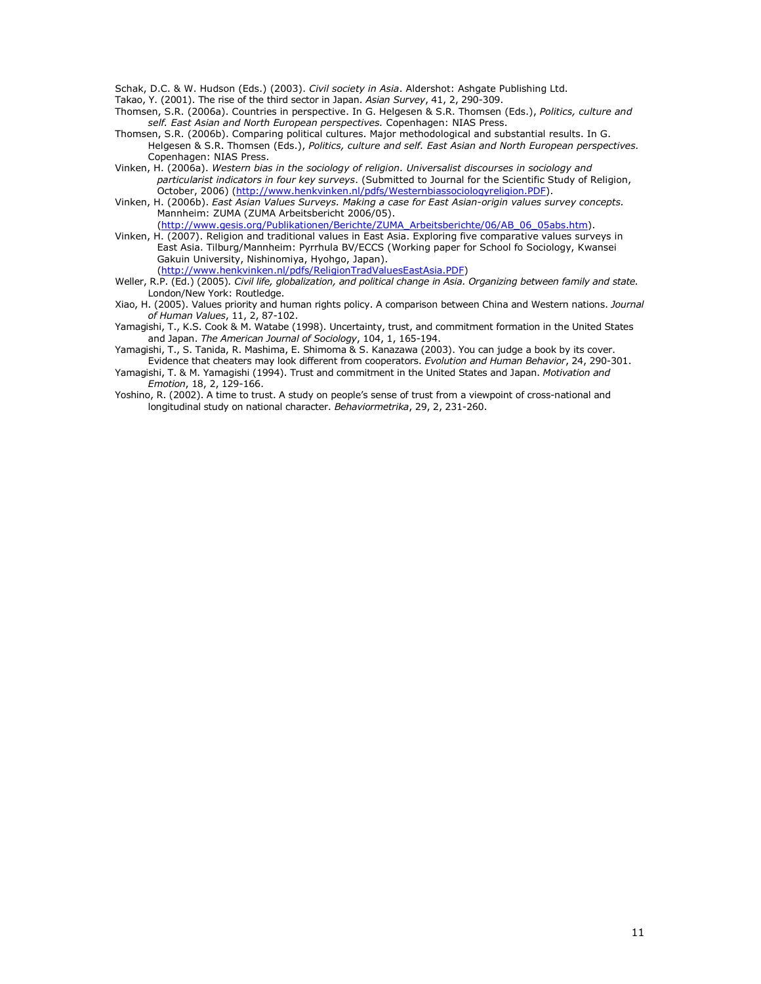Schak, D.C. & W. Hudson (Eds.) (2003). Civil society in Asia. Aldershot: Ashqate Publishing Ltd.

Takao, Y. (2001). The rise of the third sector in Japan. Asian Survey, 41, 2, 290-309.

- Thomsen, S.R. (2006a). Countries in perspective. In G. Helgesen & S.R. Thomsen (Eds.), Politics, culture and self. East Asian and North European perspectives. Copenhagen: NIAS Press.
- Thomsen, S.R. (2006b). Comparing political cultures. Major methodological and substantial results. In G. Helgesen & S.R. Thomsen (Eds.), Politics, culture and self. East Asian and North European perspectives. Copenhagen: NIAS Press.
- Vinken, H. (2006a). Western bias in the sociology of religion. Universalist discourses in sociology and particularist indicators in four key surveys. (Submitted to Journal for the Scientific Study of Religion, .<br>October, 2006) (http://www.henkvinken.nl/pdfs/Westernbiassociologyreligion.PDF).
- Vinken, H. (2006b). East Asian Values Surveys. Making a case for East Asian-origin values survey concepts. Mannheim: ZUMA (ZUMA Arbeitsbericht 2006/05). (http://www.qesis.org/Publikationen/Berichte/ZUMA Arbeitsberichte/06/AB 06 05abs.htm).
- Vinken, H. (2007). Religion and traditional values in East Asia. Exploring five comparative values surveys in East Asia. Tilburg/Mannheim: Pyrrhula BV/ECCS (Working paper for School fo Sociology, Kwansei Gakuin University, Nishinomiya, Hyohgo, Japan).

(http://www.henkvinken.nl/pdfs/ReligionTradValuesEastAsia.PDF)

- Weller, R.P. (Ed.) (2005). Civil life, globalization, and political change in Asia. Organizing between family and state. London/New York: Routledge.
- Xiao, H. (2005). Values priority and human rights policy. A comparison between China and Western nations. Journal of Human Values, 11, 2, 87-102.
- Yamagishi, T., K.S. Cook & M. Watabe (1998). Uncertainty, trust, and commitment formation in the United States and Japan. The American Journal of Sociology, 104, 1, 165-194.
- Yamagishi, T., S. Tanida, R. Mashima, E. Shimoma & S. Kanazawa (2003). You can judge a book by its cover. Evidence that cheaters may look different from cooperators. Evolution and Human Behavior, 24, 290-301.
- Yamagishi, T. & M. Yamagishi (1994). Trust and commitment in the United States and Japan. Motivation and Emotion, 18, 2, 129-166.
- Yoshino, R. (2002). A time to trust. A study on people's sense of trust from a viewpoint of cross-national and longitudinal study on national character. Behaviormetrika, 29, 2, 231-260.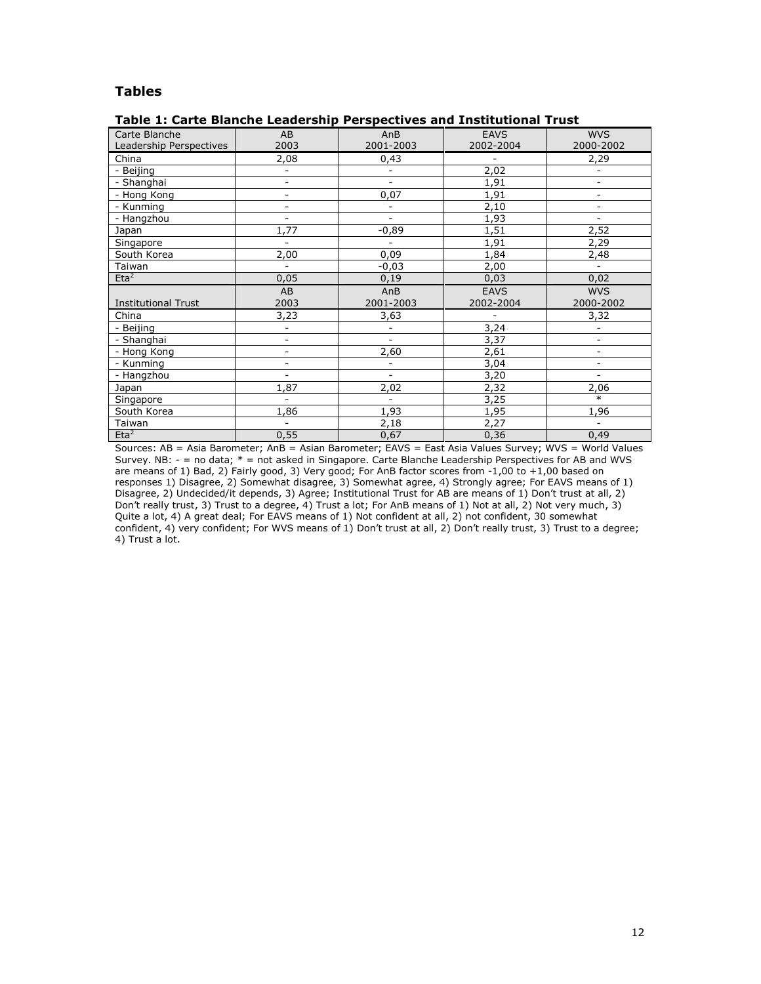# **Tables**

# Table 1: Carte Blanche Leadership Perspectives and Institutional Trust

| Carte Blanche              | AB                       | AnB                      | <b>EAVS</b> | <b>WVS</b>               |
|----------------------------|--------------------------|--------------------------|-------------|--------------------------|
| Leadership Perspectives    | 2003                     | 2001-2003                | 2002-2004   | 2000-2002                |
| China                      | 2,08                     | 0,43                     |             | 2,29                     |
| - Beijing                  | $\overline{\phantom{0}}$ | $\overline{\phantom{a}}$ | 2,02        | $\overline{\phantom{0}}$ |
| - Shanghai                 | $\overline{a}$           | $\overline{\phantom{a}}$ | 1,91        | $\overline{\phantom{a}}$ |
| - Hong Kong                | $\overline{\phantom{0}}$ | 0,07                     | 1,91        | $\overline{\phantom{a}}$ |
| - Kunming                  | $\overline{\phantom{0}}$ | $\overline{\phantom{a}}$ | 2,10        | $\overline{\phantom{a}}$ |
| - Hangzhou                 | $\overline{a}$           | $\overline{\phantom{a}}$ | 1,93        | $\overline{\phantom{0}}$ |
| Japan                      | 1,77                     | $-0,89$                  | 1,51        | 2,52                     |
| Singapore                  | $\overline{a}$           | $\overline{\phantom{0}}$ | 1,91        | 2,29                     |
| South Korea                | 2,00                     | 0,09                     | 1,84        | 2,48                     |
| Taiwan                     | $\overline{\phantom{a}}$ | $-0,03$                  | 2,00        | $\overline{\phantom{0}}$ |
| Eta <sup>2</sup>           | 0,05                     | 0,19                     | 0,03        | 0,02                     |
|                            | AB                       | AnB                      | <b>EAVS</b> | <b>WVS</b>               |
| <b>Institutional Trust</b> | 2003                     | 2001-2003                | 2002-2004   | 2000-2002                |
| China                      | 3,23                     | 3,63                     |             | 3,32                     |
| - Beijing                  | $\overline{\phantom{0}}$ | $\overline{\phantom{a}}$ | 3,24        | $\overline{a}$           |
| - Shanghai                 | $\overline{\phantom{0}}$ | $\overline{\phantom{0}}$ | 3,37        | $\overline{\phantom{a}}$ |
| - Hong Kong                | $\overline{a}$           | 2,60                     | 2,61        | $\overline{a}$           |
| - Kunming                  | $\qquad \qquad -$        | $\overline{\phantom{a}}$ | 3,04        | $\overline{\phantom{0}}$ |
| - Hangzhou                 | $\overline{\phantom{0}}$ |                          | 3,20        | $\overline{\phantom{a}}$ |
| Japan                      | 1,87                     | 2,02                     | 2,32        | 2,06                     |
| Singapore                  | $\overline{\phantom{0}}$ |                          | 3,25        | $\ast$                   |
| South Korea                | 1,86                     | 1,93                     | 1,95        | 1,96                     |
| Taiwan                     |                          |                          |             |                          |
| Eta <sup>2</sup>           |                          | 2,18                     | 2,27        |                          |

Sources: AB = Asia Barometer; AnB = Asian Barometer; EAVS = East Asia Values Survey; WVS = World Values Survey. NB: - = no data; \* = not asked in Singapore. Carte Blanche Leadership Perspectives for AB and WVS are means of 1) Bad, 2) Fairly good, 3) Very good; For AnB factor scores from -1,00 to +1,00 based on responses 1) Disagree, 2) Somewhat disagree, 3) Somewhat agree, 4) Strongly agree; For EAVS means of 1) Disagree, 2) Undecided/it depends, 3) Agree; Institutional Trust for AB are means of 1) Don't trust at all, 2) Don't really trust, 3) Trust to a degree, 4) Trust a lot; For AnB means of 1) Not at all, 2) Not very much, 3) Quite a lot, 4) A great deal; For EAVS means of 1) Not confident at all, 2) not confident, 30 somewhat<br>confident, 4) very confident; For WVS means of 1) Not confident at all, 2) not confident, 30 somewhat<br>confident, 4) ver 4) Trust a lot.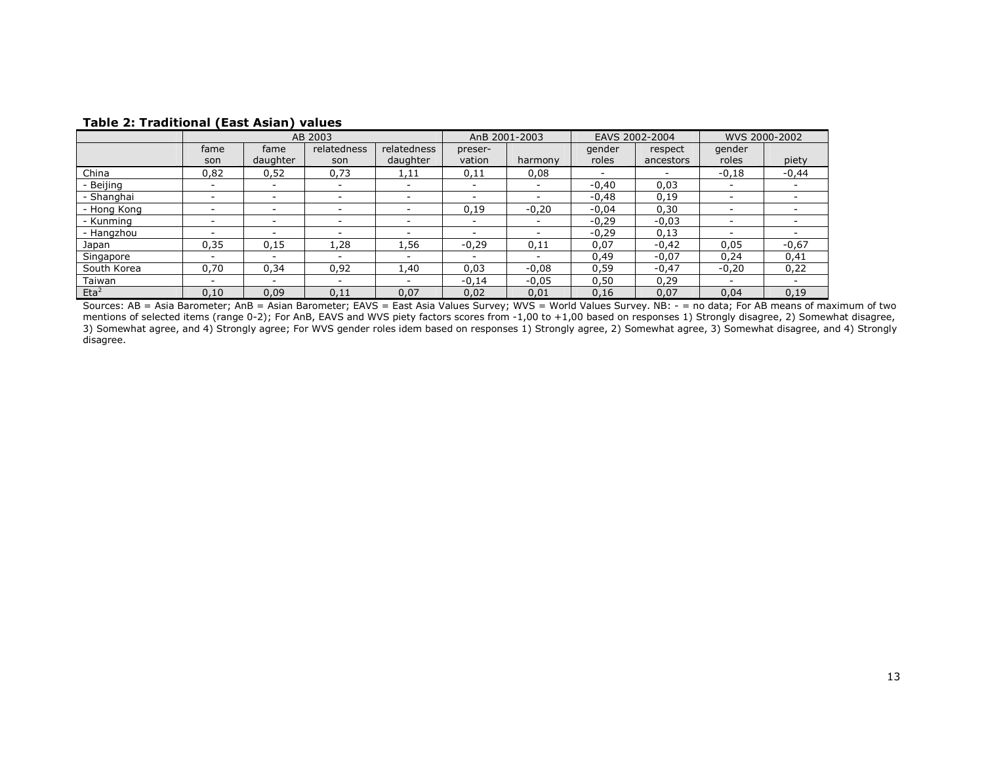|                  | AB 2003                  |                          |                          | AnB 2001-2003            |         | EAVS 2002-2004           |         | WVS 2000-2002 |                          |         |
|------------------|--------------------------|--------------------------|--------------------------|--------------------------|---------|--------------------------|---------|---------------|--------------------------|---------|
|                  | fame                     | fame                     | relatedness              | relatedness              | preser- |                          | gender  | respect       | gender                   |         |
|                  | son                      | daughter                 | son                      | daughter                 | vation  | harmony                  | roles   | ancestors     | roles                    | piety   |
| China            | 0,82                     | 0,52                     | 0,73                     | 1,11                     | 0,11    | 0,08                     |         |               | $-0,18$                  | $-0,44$ |
| Beijing          |                          |                          |                          |                          |         |                          | $-0.40$ | 0,03          |                          |         |
| Shanghai         | $\overline{\phantom{0}}$ | $\overline{\phantom{0}}$ | $\overline{\phantom{a}}$ |                          |         |                          | $-0.48$ | 0,19          | $\overline{\phantom{a}}$ |         |
| - Hong Kong      | $\overline{\phantom{a}}$ | $\overline{\phantom{a}}$ | $\overline{\phantom{0}}$ | $\overline{\phantom{a}}$ | 0,19    | $-0,20$                  | $-0,04$ | 0,30          | $\overline{\phantom{a}}$ |         |
| - Kunmina        | $\overline{\phantom{0}}$ |                          | $\overline{\phantom{0}}$ | -                        |         | $\overline{\phantom{a}}$ | $-0.29$ | $-0,03$       |                          |         |
| - Hangzhou       |                          | $\overline{\phantom{0}}$ | $\overline{\phantom{0}}$ |                          |         | $\overline{\phantom{0}}$ | $-0,29$ | 0,13          | $\overline{\phantom{0}}$ |         |
| Japan            | 0.35                     | 0,15                     | 1.28                     | 1.56                     | $-0.29$ | 0,11                     | 0,07    | $-0.42$       | 0.05                     | $-0,67$ |
| Singapore        |                          | $\overline{\phantom{a}}$ | $\overline{\phantom{a}}$ | $\overline{\phantom{0}}$ |         |                          | 0,49    | $-0.07$       | 0,24                     | 0,41    |
| South Korea      | 0,70                     | 0,34                     | 0,92                     | 1,40                     | 0,03    | $-0,08$                  | 0,59    | $-0,47$       | $-0,20$                  | 0,22    |
| Taiwan           | $\overline{\phantom{0}}$ |                          | $\overline{\phantom{0}}$ |                          | $-0,14$ | $-0,05$                  | 0,50    | 0,29          |                          |         |
| Eta <sup>2</sup> | 0,10                     | 0,09                     | 0,11                     | 0.07                     | 0,02    | 0,01                     | 0,16    | 0,07          | 0,04                     | 0,19    |

# **Table 2: Traditional (East Asian) values**

Sources: AB = Asia Barometer; AnB = Asian Barometer; EAVS = East Asia Values Survey; WVS = World Values Survey. NB: - = no data; For AB means of maximum of two<br>mentions of selected items (range 0-2); For AnB, EAVS and WVS disagree.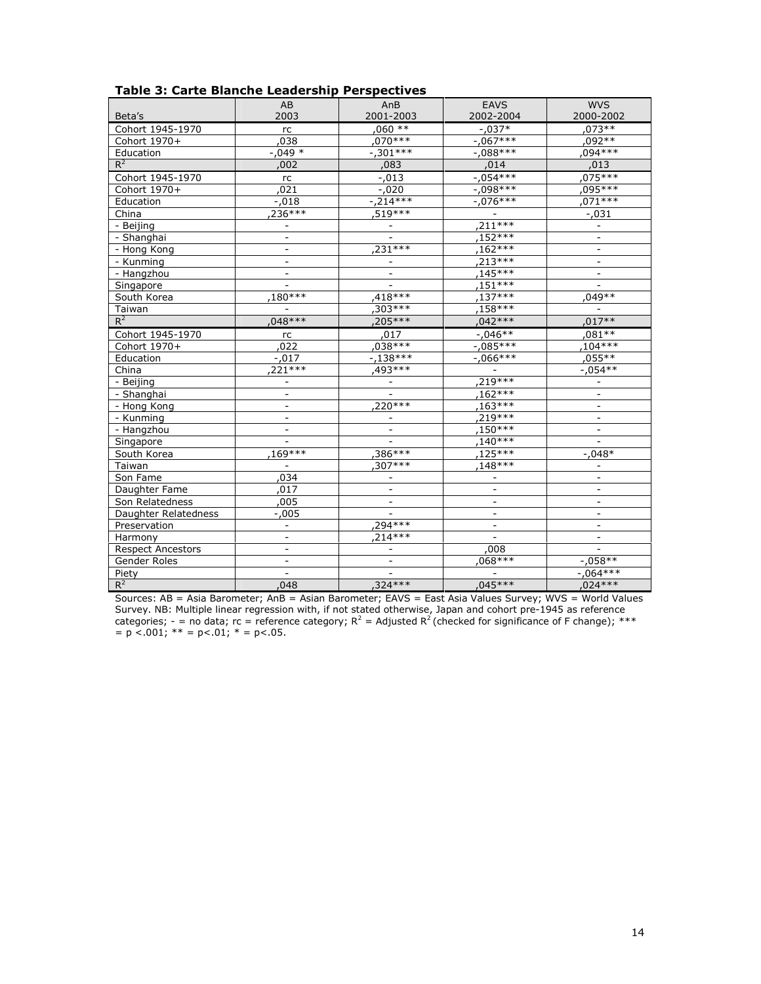|                          | AB                       | AnB                      | <b>EAVS</b>              | <b>WVS</b>               |
|--------------------------|--------------------------|--------------------------|--------------------------|--------------------------|
| Beta's                   | 2003                     | 2001-2003                | 2002-2004                | 2000-2002                |
| Cohort 1945-1970         | $\mathop{\mathsf{rc}}$   | $,060**$                 | $-0.037*$                | .073**                   |
| Cohort 1970+             | ,038                     | $.070***$                | $-.067***$               | 092**                    |
| Education                | $-0.049*$                | $-0.301***$              | $-.088***$               | ,094***                  |
| $R^2$                    | ,002                     | ,083                     | ,014                     | ,013                     |
| Cohort 1945-1970         | rc                       | $-.013$                  | $-.054***$               | $.075***$                |
| Cohort 1970+             | 021                      | $-0.020$                 | $-0.098***$              | ,095***                  |
| Education                | $-.018$                  | $-214***$                | $-.076***$               | ,071***                  |
| China                    | $236***$                 | 519 ***                  | $\overline{\phantom{a}}$ | $-.031$                  |
| - Beijing                | $\overline{\phantom{m}}$ |                          | $,211***$                | $\overline{a}$           |
| - Shanghai               | $\qquad \qquad -$        |                          | ,152***                  | $\overline{\phantom{a}}$ |
| - Hong Kong              | $\overline{\phantom{0}}$ | .231***                  | $,162***$                | $\overline{\phantom{a}}$ |
| - Kunming                | $\overline{a}$           |                          | .213***                  | $\overline{\phantom{a}}$ |
| - Hangzhou               |                          |                          | $.145***$                |                          |
| Singapore                |                          |                          | $,151***$                | $\overline{a}$           |
| South Korea              | $.180***$                | $.418***$                | $,137***$                | 049**                    |
| Taiwan                   |                          | $,303***$                | .158***                  |                          |
| $R^2$                    | $.048***$                | .205***                  | ,042 ***                 | $.017**$                 |
| Cohort 1945-1970         | rc                       | ,017                     | $-0.046**$               | ,081 **                  |
| Cohort 1970+             | 022                      | $.038***$                | $-.085***$               | $.104***$                |
| Education                | $-.017$                  | $-138***$                | $-0.066***$              | $,055***$                |
| China                    | $221***$                 | .493***                  |                          | $-.054**$                |
| - Beijing                | $\overline{\phantom{0}}$ |                          | $,219***$                |                          |
| - Shanghai               | $\overline{a}$           |                          | ,162***                  | $\overline{\phantom{a}}$ |
| - Hong Kong              | $\overline{a}$           | $220***$                 | $.163***$                | $\overline{\phantom{a}}$ |
| - Kunming                | $\overline{a}$           |                          | $,219***$                | $\overline{\phantom{0}}$ |
| - Hangzhou               | $\overline{\phantom{0}}$ | $\overline{\phantom{a}}$ | ,150***                  | $\overline{\phantom{0}}$ |
| Singapore                |                          |                          | ,140 ***                 |                          |
| South Korea              | .169***                  | $,386***$                | 125***                   | $-.048*$                 |
| Taiwan                   |                          | $.307***$                | 148***                   |                          |
| Son Fame                 | 034                      |                          |                          |                          |
| Daughter Fame            | 017                      | $\overline{\phantom{a}}$ | $\blacksquare$           | $\overline{\phantom{a}}$ |
| Son Relatedness          | ,005                     | $\overline{\phantom{a}}$ | $\overline{\phantom{a}}$ | $\qquad \qquad -$        |
| Daughter Relatedness     | $-.005$                  |                          | $\overline{\phantom{a}}$ | $\overline{\phantom{0}}$ |
| Preservation             | $\overline{a}$           | .294 ***                 | $\overline{\phantom{a}}$ | $\overline{\phantom{a}}$ |
| Harmony                  |                          | $.214***$                |                          |                          |
| <b>Respect Ancestors</b> | $\overline{\phantom{0}}$ | $\overline{\phantom{a}}$ | ,008                     |                          |
| Gender Roles             | $\overline{\phantom{0}}$ | $\overline{\phantom{a}}$ | .068***                  | $-.058**$                |
| Piety                    |                          |                          |                          | $-0.064***$              |
| $R^2$                    | 048                      | $.324***$                | $.045***$                | $,024***$                |

Table 3: Carte Blanche Leadership Perspectives

Sources: AB = Asia Barometer; AnB = Asian Barometer; EAVS = East Asia Values Survey; WVS = World Values Survey. NB: Multiple linear regression with, if not stated otherwise, Japan and cohort pre-1945 as reference categories; - = no data; rc = reference category;  $R^2$  = Adjusted  $R^2$  (checked for significance of F change); \*\*\*  $p < 0.001$ ; \*\* = p<.01; \* = p<.05.